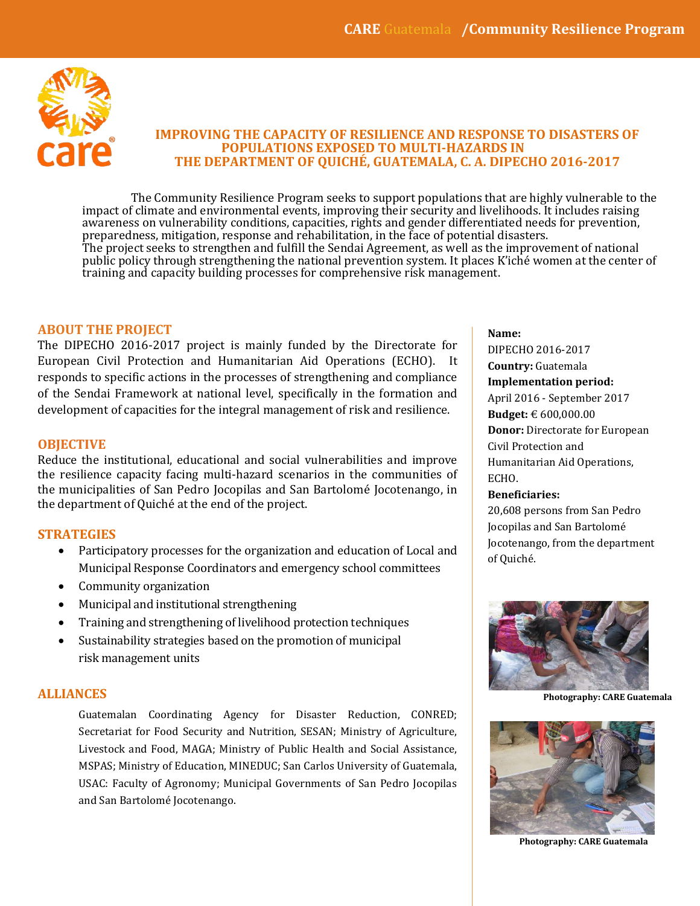

## **IMPROVING THE CAPACITY OF RESILIENCE AND RESPONSE TO DISASTERS OF POPULATIONS EXPOSED TO MULTI-HAZARDS IN THE DEPARTMENT OF QUICHÉ, GUATEMALA, C. A. DIPECHO 2016-2017**

The Community Resilience Program seeks to support populations that are highly vulnerable to the impact of climate and environmental events, improving their security and livelihoods. It includes raising awareness on vulnerability conditions, capacities, rights and gender differentiated needs for prevention, preparedness, mitigation, response and rehabilitation, in the face of potential disasters. The project seeks to strengthen and fulfill the Sendai Agreement, as well as the improvement of national public policy through strengthening the national prevention system. It places K'iché women at the center of training and capacity building processes for comprehensive risk management.

### **ABOUT THE PROJECT**

The DIPECHO 2016-2017 project is mainly funded by the Directorate for European Civil Protection and Humanitarian Aid Operations (ECHO). It responds to specific actions in the processes of strengthening and compliance of the Sendai Framework at national level, specifically in the formation and development of capacities for the integral management of risk and resilience.

#### **OBJECTIVE**

Reduce the institutional, educational and social vulnerabilities and improve the resilience capacity facing multi-hazard scenarios in the communities of the municipalities of San Pedro Jocopilas and San Bartolomé Jocotenango, in the department of Quiché at the end of the project.

#### **STRATEGIES**

- Participatory processes for the organization and education of Local and Municipal Response Coordinators and emergency school committees
- Community organization
- Municipal and institutional strengthening
- Training and strengthening of livelihood protection techniques
- Sustainability strategies based on the promotion of municipal risk management units

# **ALLIANCES**

Guatemalan Coordinating Agency for Disaster Reduction, CONRED; Secretariat for Food Security and Nutrition, SESAN; Ministry of Agriculture, Livestock and Food, MAGA; Ministry of Public Health and Social Assistance, MSPAS; Ministry of Education, MINEDUC; San Carlos University of Guatemala, USAC: Faculty of Agronomy; Municipal Governments of San Pedro Jocopilas and San Bartolomé Jocotenango.

#### **Name:**

DIPECHO 2016-2017 **Country:** Guatemala **Implementation period:** April 2016 - September 2017 **Budget:** € 600,000.00 **Donor:** Directorate for European Civil Protection and Humanitarian Aid Operations, ECHO. **Beneficiaries:**

20,608 persons from San Pedro Jocopilas and San Bartolomé Jocotenango, from the department of Quiché.



**Photography: CARE Guatemala** 



**Photography: CARE Guatemala**